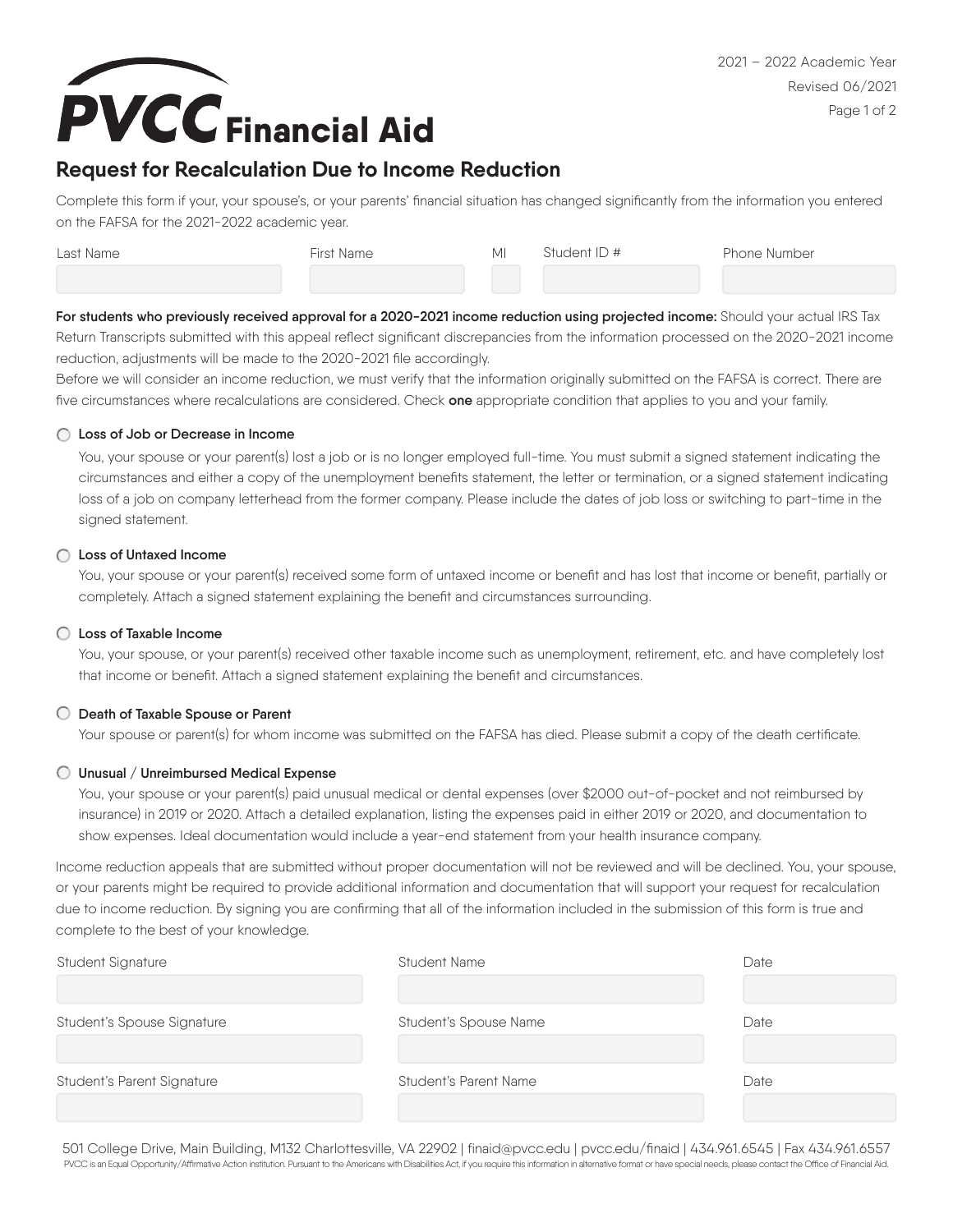

# **Request for Recalculation Due to Income Reduction**

Complete this form if your, your spouse's, or your parents' financial situation has changed significantly from the information you entered on the FAFSA for the 2021-2022 academic year.

| Last Name | First Name | MI | Student ID # | <b>Phone Number</b> |
|-----------|------------|----|--------------|---------------------|
|           |            |    |              |                     |

For students who previously received approval for a 2020-2021 income reduction using projected income: Should your actual IRS Tax Return Transcripts submitted with this appeal reflect significant discrepancies from the information processed on the 2020-2021 income reduction, adjustments will be made to the 2020-2021 file accordingly.

Before we will consider an income reduction, we must verify that the information originally submitted on the FAFSA is correct. There are five circumstances where recalculations are considered. Check **one** appropriate condition that applies to you and your family.

#### **Loss of Job or Decrease in Income**

You, your spouse or your parent(s) lost a job or is no longer employed full-time. You must submit a signed statement indicating the circumstances and either a copy of the unemployment benefits statement, the letter or termination, or a signed statement indicating loss of a job on company letterhead from the former company. Please include the dates of job loss or switching to part-time in the signed statement.

#### **Loss of Untaxed Income**

You, your spouse or your parent(s) received some form of untaxed income or benefit and has lost that income or benefit, partially or completely. Attach a signed statement explaining the benefit and circumstances surrounding.

## **Loss of Taxable Income**

You, your spouse, or your parent(s) received other taxable income such as unemployment, retirement, etc. and have completely lost that income or benefit. Attach a signed statement explaining the benefit and circumstances.

## **Death of Taxable Spouse or Parent**

Your spouse or parent(s) for whom income was submitted on the FAFSA has died. Please submit a copy of the death certificate.

#### **Unusual / Unreimbursed Medical Expense**

You, your spouse or your parent(s) paid unusual medical or dental expenses (over \$2000 out-of-pocket and not reimbursed by insurance) in 2019 or 2020. Attach a detailed explanation, listing the expenses paid in either 2019 or 2020, and documentation to show expenses. Ideal documentation would include a year-end statement from your health insurance company.

Income reduction appeals that are submitted without proper documentation will not be reviewed and will be declined. You, your spouse, or your parents might be required to provide additional information and documentation that will support your request for recalculation due to income reduction. By signing you are confirming that all of the information included in the submission of this form is true and complete to the best of your knowledge.

| Student Signature          | <b>Student Name</b>   | Date |
|----------------------------|-----------------------|------|
|                            |                       |      |
| Student's Spouse Signature | Student's Spouse Name | Date |
|                            |                       |      |
| Student's Parent Signature | Student's Parent Name | Date |
|                            |                       |      |

501 College Drive, Main Building, M132 Charlottesville, VA 22902 | finaid@pvcc.edu | pvcc.edu/finaid | 434.961.6545 | Fax 434.961.6557 PVCC is an Equal Opportunity/Affirmative Action institution. Pursuant to the Americans with Disabilities Act, if you require this information in alternative format or have special needs, please contact the Office of Financ